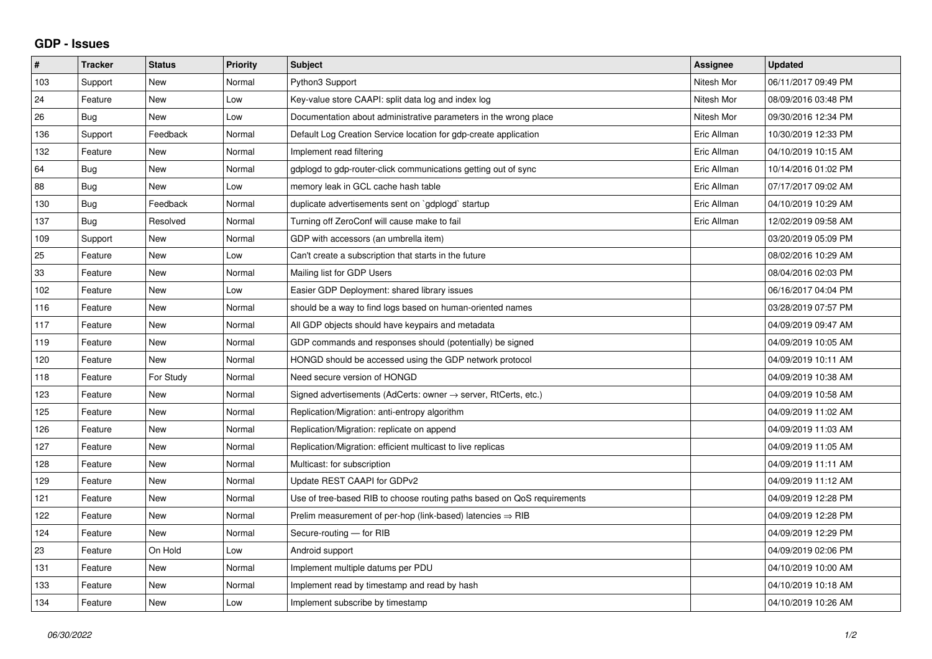## **GDP - Issues**

| #   | <b>Tracker</b> | <b>Status</b> | <b>Priority</b> | <b>Subject</b>                                                          | Assignee    | <b>Updated</b>      |
|-----|----------------|---------------|-----------------|-------------------------------------------------------------------------|-------------|---------------------|
| 103 | Support        | <b>New</b>    | Normal          | Python3 Support                                                         | Nitesh Mor  | 06/11/2017 09:49 PM |
| 24  | Feature        | <b>New</b>    | Low             | Key-value store CAAPI: split data log and index log                     | Nitesh Mor  | 08/09/2016 03:48 PM |
| 26  | Bug            | <b>New</b>    | Low             | Documentation about administrative parameters in the wrong place        | Nitesh Mor  | 09/30/2016 12:34 PM |
| 136 | Support        | Feedback      | Normal          | Default Log Creation Service location for gdp-create application        | Eric Allman | 10/30/2019 12:33 PM |
| 132 | Feature        | <b>New</b>    | Normal          | Implement read filtering                                                | Eric Allman | 04/10/2019 10:15 AM |
| 64  | Bug            | <b>New</b>    | Normal          | gdplogd to gdp-router-click communications getting out of sync          | Eric Allman | 10/14/2016 01:02 PM |
| 88  | Bug            | <b>New</b>    | Low             | memory leak in GCL cache hash table                                     | Eric Allman | 07/17/2017 09:02 AM |
| 130 | Bug            | Feedback      | Normal          | duplicate advertisements sent on `gdplogd` startup                      | Eric Allman | 04/10/2019 10:29 AM |
| 137 | Bug            | Resolved      | Normal          | Turning off ZeroConf will cause make to fail                            | Eric Allman | 12/02/2019 09:58 AM |
| 109 | Support        | <b>New</b>    | Normal          | GDP with accessors (an umbrella item)                                   |             | 03/20/2019 05:09 PM |
| 25  | Feature        | <b>New</b>    | Low             | Can't create a subscription that starts in the future                   |             | 08/02/2016 10:29 AM |
| 33  | Feature        | New           | Normal          | Mailing list for GDP Users                                              |             | 08/04/2016 02:03 PM |
| 102 | Feature        | New           | Low             | Easier GDP Deployment: shared library issues                            |             | 06/16/2017 04:04 PM |
| 116 | Feature        | <b>New</b>    | Normal          | should be a way to find logs based on human-oriented names              |             | 03/28/2019 07:57 PM |
| 117 | Feature        | <b>New</b>    | Normal          | All GDP objects should have keypairs and metadata                       |             | 04/09/2019 09:47 AM |
| 119 | Feature        | <b>New</b>    | Normal          | GDP commands and responses should (potentially) be signed               |             | 04/09/2019 10:05 AM |
| 120 | Feature        | <b>New</b>    | Normal          | HONGD should be accessed using the GDP network protocol                 |             | 04/09/2019 10:11 AM |
| 118 | Feature        | For Study     | Normal          | Need secure version of HONGD                                            |             | 04/09/2019 10:38 AM |
| 123 | Feature        | <b>New</b>    | Normal          | Signed advertisements (AdCerts: owner → server, RtCerts, etc.)          |             | 04/09/2019 10:58 AM |
| 125 | Feature        | <b>New</b>    | Normal          | Replication/Migration: anti-entropy algorithm                           |             | 04/09/2019 11:02 AM |
| 126 | Feature        | <b>New</b>    | Normal          | Replication/Migration: replicate on append                              |             | 04/09/2019 11:03 AM |
| 127 | Feature        | <b>New</b>    | Normal          | Replication/Migration: efficient multicast to live replicas             |             | 04/09/2019 11:05 AM |
| 128 | Feature        | <b>New</b>    | Normal          | Multicast: for subscription                                             |             | 04/09/2019 11:11 AM |
| 129 | Feature        | <b>New</b>    | Normal          | Update REST CAAPI for GDPv2                                             |             | 04/09/2019 11:12 AM |
| 121 | Feature        | <b>New</b>    | Normal          | Use of tree-based RIB to choose routing paths based on QoS requirements |             | 04/09/2019 12:28 PM |
| 122 | Feature        | <b>New</b>    | Normal          | Prelim measurement of per-hop (link-based) latencies $\Rightarrow$ RIB  |             | 04/09/2019 12:28 PM |
| 124 | Feature        | <b>New</b>    | Normal          | Secure-routing - for RIB                                                |             | 04/09/2019 12:29 PM |
| 23  | Feature        | On Hold       | Low             | Android support                                                         |             | 04/09/2019 02:06 PM |
| 131 | Feature        | <b>New</b>    | Normal          | Implement multiple datums per PDU                                       |             | 04/10/2019 10:00 AM |
| 133 | Feature        | <b>New</b>    | Normal          | Implement read by timestamp and read by hash                            |             | 04/10/2019 10:18 AM |
| 134 | Feature        | New           | Low             | Implement subscribe by timestamp                                        |             | 04/10/2019 10:26 AM |